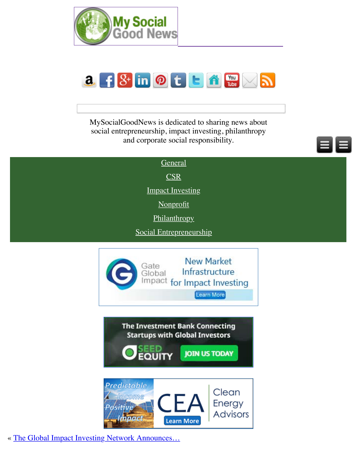

MySocialGoodNews is dedicated to sharing news about social entrepreneurship, impact investing, philanthropy and corporate social responsibility.

| General                 |  |
|-------------------------|--|
| $\overline{\text{CSR}}$ |  |
| <b>Impact Investing</b> |  |
| Nonprofit               |  |
| Philanthropy            |  |
| Social Entrepreneurship |  |





**JOIN US TODAY** 



« The Global Impact Investing Network Announces...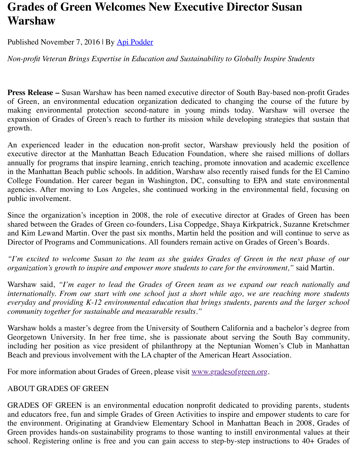**Press Release –** Susan Warshaw has been named executive director of South Bay-based nonof Green, an environmental edu[cation organ](http://mysocialgoodnews.com/author/apipodder/)ization dedicated to changing the course of making environmental protection second-nature in young minds today. Warshaw will expansion of Grades of Green's reach to further its mission while developing strategies th growth.

An experienced leader in the education non-profit sector, Warshaw previously held the executive director at the Manhattan Beach Education Foundation, where she raised milli annually for programs that inspire learning, enrich teaching, promote innovation and academ in the Manhattan Beach public schools. In addition, Warshaw also recently raised funds for College Foundation. Her career began in Washington, DC, consulting to EPA and state agencies. After moving to Los Angeles, she continued working in the environmental field public involvement.

Since the organization's inception in 2008, the role of executive director at Grades of G shared between the Grades of Green co-founders, Lisa Coppedge, Shaya Kirkpatrick, Suzan and Kim Lewand Martin. Over the past six months, Martin held the position and will continue Director of Programs and Communications. All founders remain active on Grades of Green's

*"I'm excited to welcome Susan to the team as she guides Grades of Green in the next organization's growth to inspire and empower more students to care for the environment,"* say

Warshaw said, "I'm eager to lead the Grades of Green team as we expand our reach n *internationally. From our start with one school just a short while ago, we are reaching everyday and providing K-12 environmental education that brings students, parents and the community together for sustainable and measurable results."*

Warshaw holds a master's degree from the University of Southern California and a bachelor Georgetown University. In her free time, she is passionate about serving the South Ba including her position as vice president of philanthropy at the Neptunian Women's Club Beach and previous involvement with the LA chapter of the American Heart Association.

For more information about Grades of Green, please visit www.gradesofgreen.org.

#### ABOUT GRADES OF GREEN

GRADES OF GREEN is an environmental education nonprofit dedicated to providing particle. and educators free, fun and simple Grades of Green Activities to inspire and empower stude the environment. Originating at Grandview Elementary School in Manhattan Beach in 20 Green provides hands-on sustainability programs to thos[e wanting to instill envi](http://www.gradesofgreen.org/)ronmental school. Registering online is free and you can gain access to step-by-step instructions to 4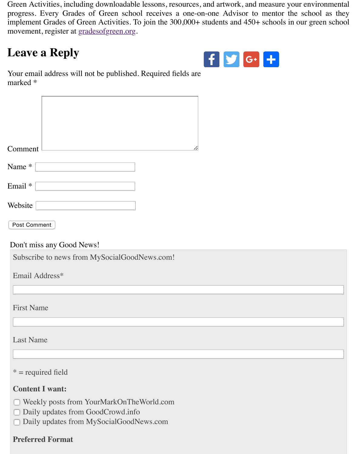

Your email address will not be published. Required fields are marked \*

| Comment      |  |  | 7, |
|--------------|--|--|----|
| Name *       |  |  |    |
| Email *      |  |  |    |
| Website      |  |  |    |
| Post Comment |  |  |    |

Don't miss any Good News!

Subscribe to news from MySocialGoodNews.com!

Email Address\*

First Name

Last Name

 $*$  = required field

## **Content I want:**

- Weekly posts from YourMarkOnTheWorld.com
- Daily updates from GoodCrowd.info
- Daily updates from MySocialGoodNews.com n

#### **Preferred Format**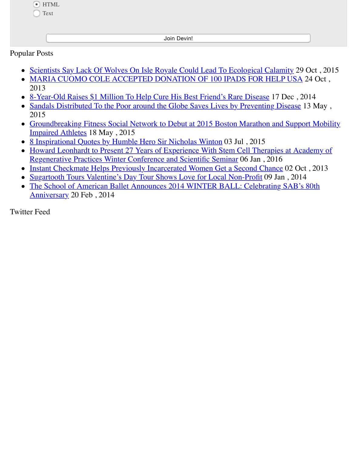- Scientists Say Lack Of Wolves On Isle Royale Could Lead To Ecological Calamity 29
- MARIA CUOMO COLE ACCEPTED DONATION OF 100 IPADS FOR HELP USA 2013
- 8-Year-Old Raises \$1 Million To Help Cure His Best Friend's Rare Disease 17 Dec, 2014
- Sandals Distributed To the Poor around the Globe Saves Lives by Preventing Disease 2015
- Groundbreaking Fitness Social Network to Debut at 2015 Boston Marathon and Support Mobility Mobility Mobility [Impaired Athletes](http://mysocialgoodnews.com/scientists-say-lack-of-wolves-on-isle-royale-could-lead-to-ecological-calamity/) 18 May , 2015
- [8 Inspirational Quotes by Humble Hero Sir Nicholas Winton](http://mysocialgoodnews.com/maria-cuomo-cole-accepted-donation-of-100-ipads/) 03 Jul , 2015
- Howard Leonhardt to Present 27 Years of Experience With Stem Cell Therapies at Aca [Regenerative Practices Winter Conference and Scientific Seminar](http://mysocialgoodnews.com/8-year-old-raises-1-million-help-cure-best-friends-rare-disease/) 06 Jan , 2016
- [Instant Checkmate Helps Previously Incarcerated Women Get a Second Chance](http://mysocialgoodnews.com/sandals-distributed-to-the-poor-around-the-globe-saves-lives-by-preventing-disease/) 02 Oc
- Sugartooth Tours Valentine's Day Tour Shows Love for Local Non-Profit 09 Jan, 2014
- The School of American Ballet Announces 2014 WINTER BALL: Celebrating SAB's Anniversary [20 Feb , 2014](http://mysocialgoodnews.com/8-inspirational-quotes-by-humble-hero-sir-nicholas-winton/)

Twitt[er Feed](http://mysocialgoodnews.com/howard-leonhardt-to-present-27-years-of-experience-with-stem-cell-therapies-at-academy-of-regenerative-practices-winter-conference-and-scientific-seminar/)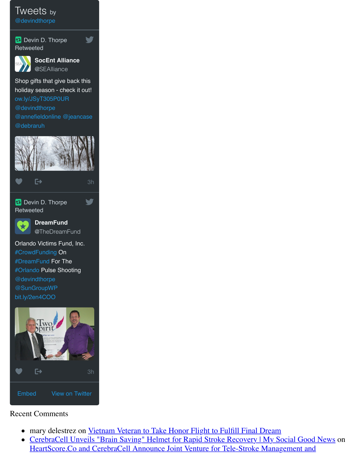

[Shop gifts that g](https://twitter.com/devindthorpe)ive back this holiday season - check it out! ow.ly/JSyT305P0UR @devindthorpe @annefieldonline @jeancase [@debraruh](https://twitter.com/SEAlliance)



[Devin D. Thorpe](https://twitter.com/SEAlliance/status/795662230901637120/photo/1) **Retweeted** 



**DreamFund** @TheDreamFund V

[Orla](https://twitter.com/intent/like?tweet_id=795662230901637120)nd[o Vi](http://mysocialgoodnews.com/grades-green-welcomes-new-executive-director-susan-warshaw/#)ctims Fund, Inc. #CrowdFunding On #DreamFund For The #Orlando Pulse Shooting @devindthorpe [@SunGroupWP](https://twitter.com/TheDreamFund) bit.ly/2en4COO



## [Recent Comments](https://twitter.com/TheDreamFund/status/795666134859206656/photo/1)

- [mary](http://mysocialgoodnews.com/grades-green-welcomes-new-executive-director-susan-warshaw/#) delestrez on [Vi](https://twitter.com/TheDreamFund/status/795666134859206656)etnam Veteran to Take Honor Flight to Fulfill Final Dream  $\bullet$
- CerebraCell Unveils "Brain Saving" Helmet for Rapid Stroke Recovery | My Social G [He](https://twitter.com/settings/widgets/new/user?user_id=528177366)art[Score.Co and](https://twitter.com/devindthorpe) CerebraCell Announce Joint Venture for Tele-Stroke Management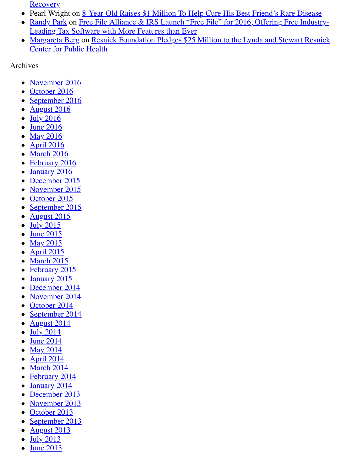#### Archi[ves](http://mysocialgoodnews.com/heartscore-co-cerebracell-announce-joint-venture-tele-stroke-management-recovery/#comment-10540)

- [November](http://locustax.com/what-we-do/) [2016](http://mysocialgoodnews.com/free-file-alliance-irs-launch-free-file-for-2016-offering-free-industry-leading-tax-software-with-more-features-than-ever/#comment-8343)
- October 2016
- [September 201](http://www.surgicon.org/)[6](http://mysocialgoodnews.com/resnick-foundation-pledges-25-million-lynda-stewart-resnick-center-public-health/#comment-8003)
- August 2016
- $\bullet$  July 2016
- June 2016
- **May 2016**  $\bullet$
- [April 2016](http://mysocialgoodnews.com/2016/11/)
- [March 2016](http://mysocialgoodnews.com/2016/10/)
- **[February 2016](http://mysocialgoodnews.com/2016/09/)**  $\bullet$
- [January 2016](http://mysocialgoodnews.com/2016/08/)  $\bullet$
- [December](http://mysocialgoodnews.com/2016/07/) 2015
- [November](http://mysocialgoodnews.com/2016/06/) 2015  $\bullet$
- [October 20](http://mysocialgoodnews.com/2016/05/)15
- [September](http://mysocialgoodnews.com/2016/04/) 2015
- August  $2015$
- $\bullet$  [July 2015](http://mysocialgoodnews.com/2016/02/)
- $\bullet$  [June 2015](http://mysocialgoodnews.com/2016/01/)
- [May 2015](http://mysocialgoodnews.com/2015/12/)
- $\bullet$  [April 2015](http://mysocialgoodnews.com/2015/11/)
- [March 2015](http://mysocialgoodnews.com/2015/10/)
- [February 2015](http://mysocialgoodnews.com/2015/09/)
- [January 2015](http://mysocialgoodnews.com/2015/08/)  $\bullet$
- [December](http://mysocialgoodnews.com/2015/07/) 2014  $\bullet$
- [November](http://mysocialgoodnews.com/2015/06/) 2014
- [October 20](http://mysocialgoodnews.com/2015/05/)14
- [September](http://mysocialgoodnews.com/2015/04/) 2014
- [August 2014](http://mysocialgoodnews.com/2015/03/)
- $\bullet$  [July 2014](http://mysocialgoodnews.com/2015/02/)
- **[June 2014](http://mysocialgoodnews.com/2015/01/)**  $\bullet$
- [May 2014](http://mysocialgoodnews.com/2014/12/)
- [April 2014](http://mysocialgoodnews.com/2014/11/)
- $\bullet$  [March 2014](http://mysocialgoodnews.com/2014/10/)
- [February 2014](http://mysocialgoodnews.com/2014/09/)  $\bullet$
- [January 2014](http://mysocialgoodnews.com/2014/08/)  $\bullet$
- [December](http://mysocialgoodnews.com/2014/07/) 2013
- [November](http://mysocialgoodnews.com/2014/06/) 2013  $\bullet$
- [October 20](http://mysocialgoodnews.com/2014/05/)13
- [September](http://mysocialgoodnews.com/2014/04/) 2013  $\bullet$
- [August 2013](http://mysocialgoodnews.com/2014/03/)  $\bullet$
- [July 2013](http://mysocialgoodnews.com/2014/02/)  $\bullet$
- $\bullet$  [June 2013](http://mysocialgoodnews.com/2014/01/)